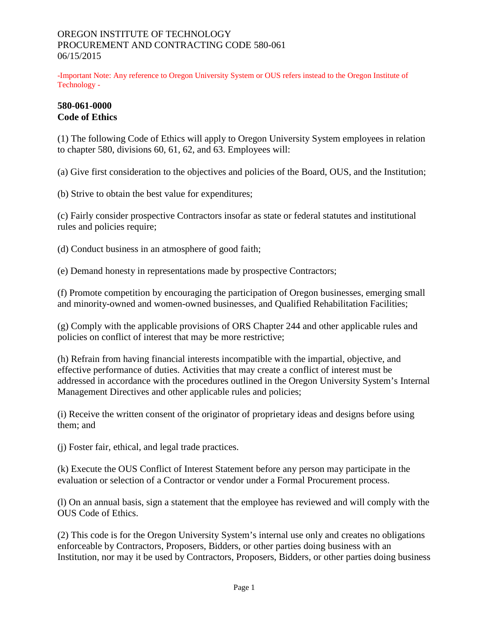#### OREGON INSTITUTE OF TECHNOLOGY PROCUREMENT AND CONTRACTING CODE 580-061 06/15/2015

-Important Note: Any reference to Oregon University System or OUS refers instead to the Oregon Institute of Technology -

#### **580-061-0000 Code of Ethics**

(1) The following Code of Ethics will apply to Oregon University System employees in relation to chapter 580, divisions 60, 61, 62, and 63. Employees will:

(a) Give first consideration to the objectives and policies of the Board, OUS, and the Institution;

(b) Strive to obtain the best value for expenditures;

(c) Fairly consider prospective Contractors insofar as state or federal statutes and institutional rules and policies require;

(d) Conduct business in an atmosphere of good faith;

(e) Demand honesty in representations made by prospective Contractors;

(f) Promote competition by encouraging the participation of Oregon businesses, emerging small and minority-owned and women-owned businesses, and Qualified Rehabilitation Facilities;

(g) Comply with the applicable provisions of ORS Chapter 244 and other applicable rules and policies on conflict of interest that may be more restrictive;

(h) Refrain from having financial interests incompatible with the impartial, objective, and effective performance of duties. Activities that may create a conflict of interest must be addressed in accordance with the procedures outlined in the Oregon University System's Internal Management Directives and other applicable rules and policies;

(i) Receive the written consent of the originator of proprietary ideas and designs before using them; and

(j) Foster fair, ethical, and legal trade practices.

(k) Execute the OUS Conflict of Interest Statement before any person may participate in the evaluation or selection of a Contractor or vendor under a Formal Procurement process.

(l) On an annual basis, sign a statement that the employee has reviewed and will comply with the OUS Code of Ethics.

(2) This code is for the Oregon University System's internal use only and creates no obligations enforceable by Contractors, Proposers, Bidders, or other parties doing business with an Institution, nor may it be used by Contractors, Proposers, Bidders, or other parties doing business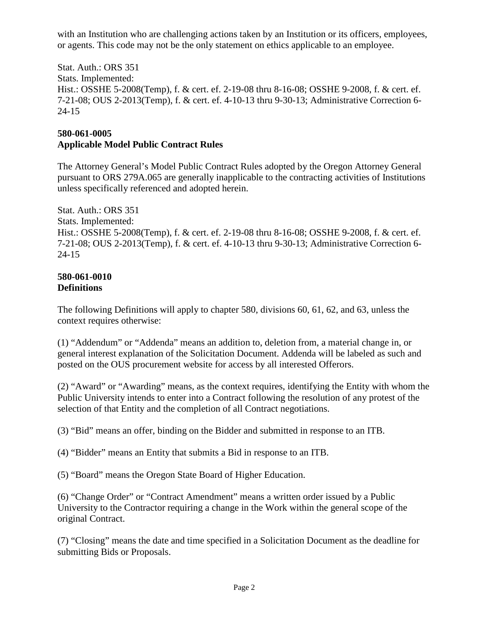with an Institution who are challenging actions taken by an Institution or its officers, employees, or agents. This code may not be the only statement on ethics applicable to an employee.

Stat. Auth.: ORS 351 Stats. Implemented: Hist.: OSSHE 5-2008(Temp), f. & cert. ef. 2-19-08 thru 8-16-08; OSSHE 9-2008, f. & cert. ef. 7-21-08; OUS 2-2013(Temp), f. & cert. ef. 4-10-13 thru 9-30-13; Administrative Correction 6- 24-15

# **580-061-0005**

## **Applicable Model Public Contract Rules**

The Attorney General's Model Public Contract Rules adopted by the Oregon Attorney General pursuant to ORS 279A.065 are generally inapplicable to the contracting activities of Institutions unless specifically referenced and adopted herein.

Stat. Auth.: ORS 351 Stats. Implemented: Hist.: OSSHE 5-2008(Temp), f. & cert. ef. 2-19-08 thru 8-16-08; OSSHE 9-2008, f. & cert. ef. 7-21-08; OUS 2-2013(Temp), f. & cert. ef. 4-10-13 thru 9-30-13; Administrative Correction 6- 24-15

#### **580-061-0010 Definitions**

The following Definitions will apply to chapter 580, divisions 60, 61, 62, and 63, unless the context requires otherwise:

(1) "Addendum" or "Addenda" means an addition to, deletion from, a material change in, or general interest explanation of the Solicitation Document. Addenda will be labeled as such and posted on the OUS procurement website for access by all interested Offerors.

(2) "Award" or "Awarding" means, as the context requires, identifying the Entity with whom the Public University intends to enter into a Contract following the resolution of any protest of the selection of that Entity and the completion of all Contract negotiations.

(3) "Bid" means an offer, binding on the Bidder and submitted in response to an ITB.

(4) "Bidder" means an Entity that submits a Bid in response to an ITB.

(5) "Board" means the Oregon State Board of Higher Education.

(6) "Change Order" or "Contract Amendment" means a written order issued by a Public University to the Contractor requiring a change in the Work within the general scope of the original Contract.

(7) "Closing" means the date and time specified in a Solicitation Document as the deadline for submitting Bids or Proposals.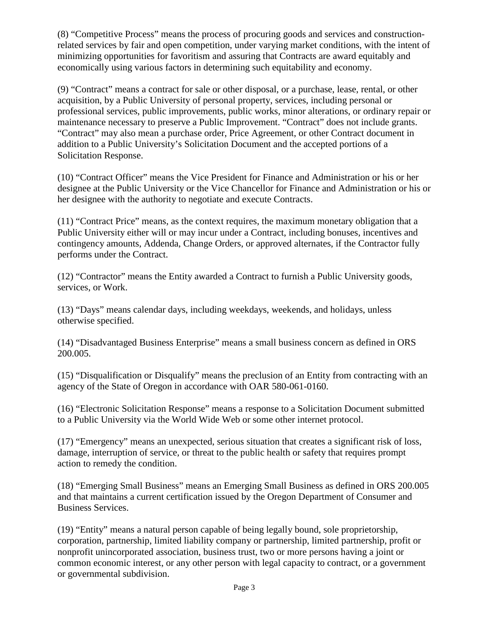(8) "Competitive Process" means the process of procuring goods and services and constructionrelated services by fair and open competition, under varying market conditions, with the intent of minimizing opportunities for favoritism and assuring that Contracts are award equitably and economically using various factors in determining such equitability and economy.

(9) "Contract" means a contract for sale or other disposal, or a purchase, lease, rental, or other acquisition, by a Public University of personal property, services, including personal or professional services, public improvements, public works, minor alterations, or ordinary repair or maintenance necessary to preserve a Public Improvement. "Contract" does not include grants. "Contract" may also mean a purchase order, Price Agreement, or other Contract document in addition to a Public University's Solicitation Document and the accepted portions of a Solicitation Response.

(10) "Contract Officer" means the Vice President for Finance and Administration or his or her designee at the Public University or the Vice Chancellor for Finance and Administration or his or her designee with the authority to negotiate and execute Contracts.

(11) "Contract Price" means, as the context requires, the maximum monetary obligation that a Public University either will or may incur under a Contract, including bonuses, incentives and contingency amounts, Addenda, Change Orders, or approved alternates, if the Contractor fully performs under the Contract.

(12) "Contractor" means the Entity awarded a Contract to furnish a Public University goods, services, or Work.

(13) "Days" means calendar days, including weekdays, weekends, and holidays, unless otherwise specified.

(14) "Disadvantaged Business Enterprise" means a small business concern as defined in ORS 200.005.

(15) "Disqualification or Disqualify" means the preclusion of an Entity from contracting with an agency of the State of Oregon in accordance with OAR 580-061-0160.

(16) "Electronic Solicitation Response" means a response to a Solicitation Document submitted to a Public University via the World Wide Web or some other internet protocol.

(17) "Emergency" means an unexpected, serious situation that creates a significant risk of loss, damage, interruption of service, or threat to the public health or safety that requires prompt action to remedy the condition.

(18) "Emerging Small Business" means an Emerging Small Business as defined in ORS 200.005 and that maintains a current certification issued by the Oregon Department of Consumer and Business Services.

(19) "Entity" means a natural person capable of being legally bound, sole proprietorship, corporation, partnership, limited liability company or partnership, limited partnership, profit or nonprofit unincorporated association, business trust, two or more persons having a joint or common economic interest, or any other person with legal capacity to contract, or a government or governmental subdivision.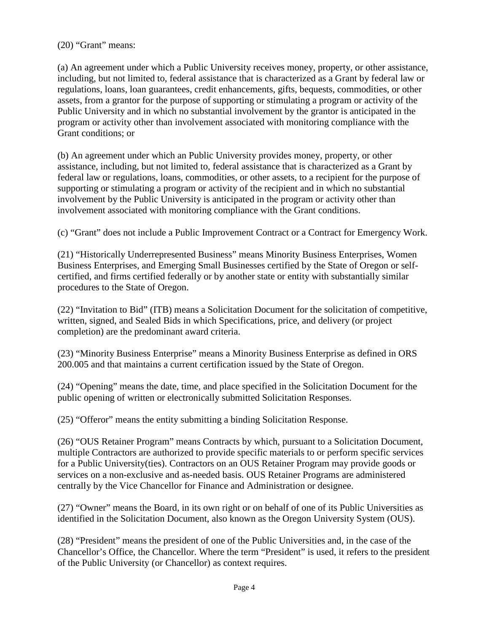(20) "Grant" means:

(a) An agreement under which a Public University receives money, property, or other assistance, including, but not limited to, federal assistance that is characterized as a Grant by federal law or regulations, loans, loan guarantees, credit enhancements, gifts, bequests, commodities, or other assets, from a grantor for the purpose of supporting or stimulating a program or activity of the Public University and in which no substantial involvement by the grantor is anticipated in the program or activity other than involvement associated with monitoring compliance with the Grant conditions; or

(b) An agreement under which an Public University provides money, property, or other assistance, including, but not limited to, federal assistance that is characterized as a Grant by federal law or regulations, loans, commodities, or other assets, to a recipient for the purpose of supporting or stimulating a program or activity of the recipient and in which no substantial involvement by the Public University is anticipated in the program or activity other than involvement associated with monitoring compliance with the Grant conditions.

(c) "Grant" does not include a Public Improvement Contract or a Contract for Emergency Work.

(21) "Historically Underrepresented Business" means Minority Business Enterprises, Women Business Enterprises, and Emerging Small Businesses certified by the State of Oregon or selfcertified, and firms certified federally or by another state or entity with substantially similar procedures to the State of Oregon.

(22) "Invitation to Bid" (ITB) means a Solicitation Document for the solicitation of competitive, written, signed, and Sealed Bids in which Specifications, price, and delivery (or project completion) are the predominant award criteria.

(23) "Minority Business Enterprise" means a Minority Business Enterprise as defined in ORS 200.005 and that maintains a current certification issued by the State of Oregon.

(24) "Opening" means the date, time, and place specified in the Solicitation Document for the public opening of written or electronically submitted Solicitation Responses.

(25) "Offeror" means the entity submitting a binding Solicitation Response.

(26) "OUS Retainer Program" means Contracts by which, pursuant to a Solicitation Document, multiple Contractors are authorized to provide specific materials to or perform specific services for a Public University(ties). Contractors on an OUS Retainer Program may provide goods or services on a non-exclusive and as-needed basis. OUS Retainer Programs are administered centrally by the Vice Chancellor for Finance and Administration or designee.

(27) "Owner" means the Board, in its own right or on behalf of one of its Public Universities as identified in the Solicitation Document, also known as the Oregon University System (OUS).

(28) "President" means the president of one of the Public Universities and, in the case of the Chancellor's Office, the Chancellor. Where the term "President" is used, it refers to the president of the Public University (or Chancellor) as context requires.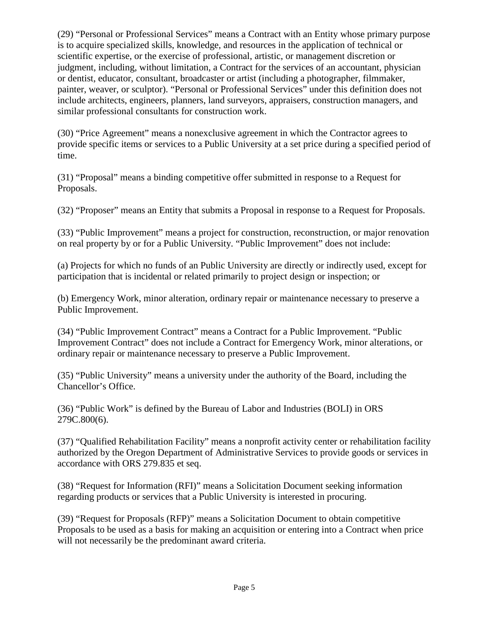(29) "Personal or Professional Services" means a Contract with an Entity whose primary purpose is to acquire specialized skills, knowledge, and resources in the application of technical or scientific expertise, or the exercise of professional, artistic, or management discretion or judgment, including, without limitation, a Contract for the services of an accountant, physician or dentist, educator, consultant, broadcaster or artist (including a photographer, filmmaker, painter, weaver, or sculptor). "Personal or Professional Services" under this definition does not include architects, engineers, planners, land surveyors, appraisers, construction managers, and similar professional consultants for construction work.

(30) "Price Agreement" means a nonexclusive agreement in which the Contractor agrees to provide specific items or services to a Public University at a set price during a specified period of time.

(31) "Proposal" means a binding competitive offer submitted in response to a Request for Proposals.

(32) "Proposer" means an Entity that submits a Proposal in response to a Request for Proposals.

(33) "Public Improvement" means a project for construction, reconstruction, or major renovation on real property by or for a Public University. "Public Improvement" does not include:

(a) Projects for which no funds of an Public University are directly or indirectly used, except for participation that is incidental or related primarily to project design or inspection; or

(b) Emergency Work, minor alteration, ordinary repair or maintenance necessary to preserve a Public Improvement.

(34) "Public Improvement Contract" means a Contract for a Public Improvement. "Public Improvement Contract" does not include a Contract for Emergency Work, minor alterations, or ordinary repair or maintenance necessary to preserve a Public Improvement.

(35) "Public University" means a university under the authority of the Board, including the Chancellor's Office.

(36) "Public Work" is defined by the Bureau of Labor and Industries (BOLI) in ORS 279C.800(6).

(37) "Qualified Rehabilitation Facility" means a nonprofit activity center or rehabilitation facility authorized by the Oregon Department of Administrative Services to provide goods or services in accordance with ORS 279.835 et seq.

(38) "Request for Information (RFI)" means a Solicitation Document seeking information regarding products or services that a Public University is interested in procuring.

(39) "Request for Proposals (RFP)" means a Solicitation Document to obtain competitive Proposals to be used as a basis for making an acquisition or entering into a Contract when price will not necessarily be the predominant award criteria.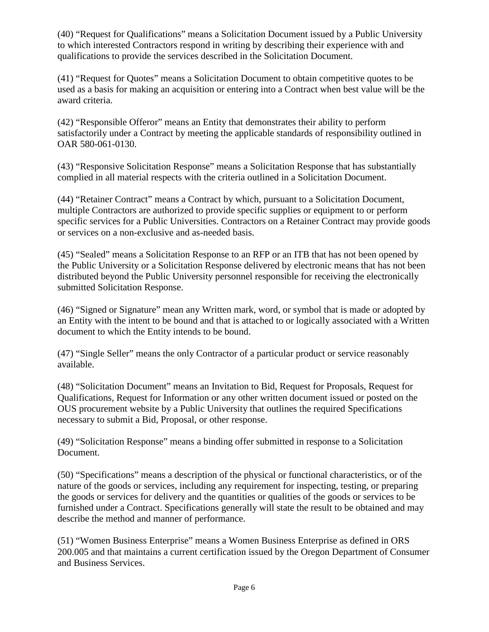(40) "Request for Qualifications" means a Solicitation Document issued by a Public University to which interested Contractors respond in writing by describing their experience with and qualifications to provide the services described in the Solicitation Document.

(41) "Request for Quotes" means a Solicitation Document to obtain competitive quotes to be used as a basis for making an acquisition or entering into a Contract when best value will be the award criteria.

(42) "Responsible Offeror" means an Entity that demonstrates their ability to perform satisfactorily under a Contract by meeting the applicable standards of responsibility outlined in OAR 580-061-0130.

(43) "Responsive Solicitation Response" means a Solicitation Response that has substantially complied in all material respects with the criteria outlined in a Solicitation Document.

(44) "Retainer Contract" means a Contract by which, pursuant to a Solicitation Document, multiple Contractors are authorized to provide specific supplies or equipment to or perform specific services for a Public Universities. Contractors on a Retainer Contract may provide goods or services on a non-exclusive and as-needed basis.

(45) "Sealed" means a Solicitation Response to an RFP or an ITB that has not been opened by the Public University or a Solicitation Response delivered by electronic means that has not been distributed beyond the Public University personnel responsible for receiving the electronically submitted Solicitation Response.

(46) "Signed or Signature" mean any Written mark, word, or symbol that is made or adopted by an Entity with the intent to be bound and that is attached to or logically associated with a Written document to which the Entity intends to be bound.

(47) "Single Seller" means the only Contractor of a particular product or service reasonably available.

(48) "Solicitation Document" means an Invitation to Bid, Request for Proposals, Request for Qualifications, Request for Information or any other written document issued or posted on the OUS procurement website by a Public University that outlines the required Specifications necessary to submit a Bid, Proposal, or other response.

(49) "Solicitation Response" means a binding offer submitted in response to a Solicitation Document.

(50) "Specifications" means a description of the physical or functional characteristics, or of the nature of the goods or services, including any requirement for inspecting, testing, or preparing the goods or services for delivery and the quantities or qualities of the goods or services to be furnished under a Contract. Specifications generally will state the result to be obtained and may describe the method and manner of performance.

(51) "Women Business Enterprise" means a Women Business Enterprise as defined in ORS 200.005 and that maintains a current certification issued by the Oregon Department of Consumer and Business Services.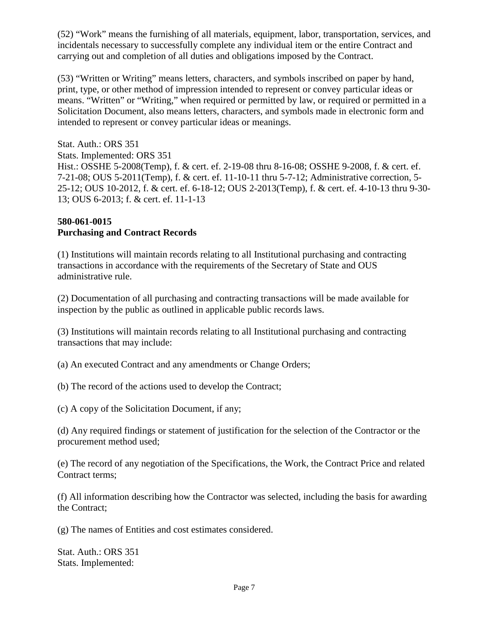(52) "Work" means the furnishing of all materials, equipment, labor, transportation, services, and incidentals necessary to successfully complete any individual item or the entire Contract and carrying out and completion of all duties and obligations imposed by the Contract.

(53) "Written or Writing" means letters, characters, and symbols inscribed on paper by hand, print, type, or other method of impression intended to represent or convey particular ideas or means. "Written" or "Writing," when required or permitted by law, or required or permitted in a Solicitation Document, also means letters, characters, and symbols made in electronic form and intended to represent or convey particular ideas or meanings.

Stat. Auth.: ORS 351 Stats. Implemented: ORS 351 Hist.: OSSHE 5-2008(Temp), f. & cert. ef. 2-19-08 thru 8-16-08; OSSHE 9-2008, f. & cert. ef. 7-21-08; OUS 5-2011(Temp), f. & cert. ef. 11-10-11 thru 5-7-12; Administrative correction, 5- 25-12; OUS 10-2012, f. & cert. ef. 6-18-12; OUS 2-2013(Temp), f. & cert. ef. 4-10-13 thru 9-30- 13; OUS 6-2013; f. & cert. ef. 11-1-13

### **580-061-0015 Purchasing and Contract Records**

(1) Institutions will maintain records relating to all Institutional purchasing and contracting transactions in accordance with the requirements of the Secretary of State and OUS administrative rule.

(2) Documentation of all purchasing and contracting transactions will be made available for inspection by the public as outlined in applicable public records laws.

(3) Institutions will maintain records relating to all Institutional purchasing and contracting transactions that may include:

(a) An executed Contract and any amendments or Change Orders;

(b) The record of the actions used to develop the Contract;

(c) A copy of the Solicitation Document, if any;

(d) Any required findings or statement of justification for the selection of the Contractor or the procurement method used;

(e) The record of any negotiation of the Specifications, the Work, the Contract Price and related Contract terms;

(f) All information describing how the Contractor was selected, including the basis for awarding the Contract;

(g) The names of Entities and cost estimates considered.

Stat. Auth.: ORS 351 Stats. Implemented: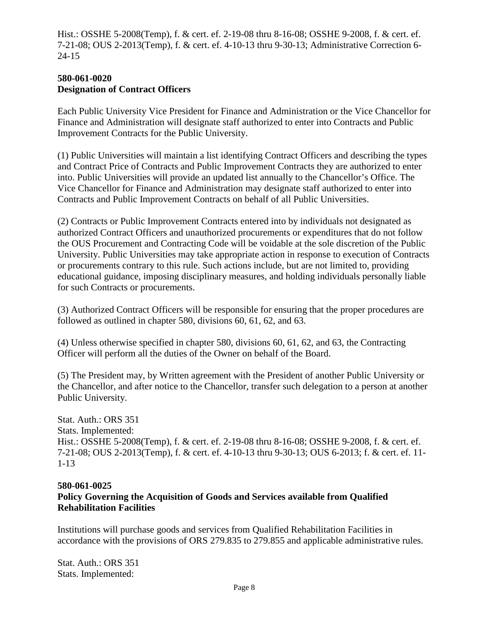Hist.: OSSHE 5-2008(Temp), f. & cert. ef. 2-19-08 thru 8-16-08; OSSHE 9-2008, f. & cert. ef. 7-21-08; OUS 2-2013(Temp), f. & cert. ef. 4-10-13 thru 9-30-13; Administrative Correction 6- 24-15

#### **580-061-0020 Designation of Contract Officers**

Each Public University Vice President for Finance and Administration or the Vice Chancellor for Finance and Administration will designate staff authorized to enter into Contracts and Public Improvement Contracts for the Public University.

(1) Public Universities will maintain a list identifying Contract Officers and describing the types and Contract Price of Contracts and Public Improvement Contracts they are authorized to enter into. Public Universities will provide an updated list annually to the Chancellor's Office. The Vice Chancellor for Finance and Administration may designate staff authorized to enter into Contracts and Public Improvement Contracts on behalf of all Public Universities.

(2) Contracts or Public Improvement Contracts entered into by individuals not designated as authorized Contract Officers and unauthorized procurements or expenditures that do not follow the OUS Procurement and Contracting Code will be voidable at the sole discretion of the Public University. Public Universities may take appropriate action in response to execution of Contracts or procurements contrary to this rule. Such actions include, but are not limited to, providing educational guidance, imposing disciplinary measures, and holding individuals personally liable for such Contracts or procurements.

(3) Authorized Contract Officers will be responsible for ensuring that the proper procedures are followed as outlined in chapter 580, divisions 60, 61, 62, and 63.

(4) Unless otherwise specified in chapter 580, divisions 60, 61, 62, and 63, the Contracting Officer will perform all the duties of the Owner on behalf of the Board.

(5) The President may, by Written agreement with the President of another Public University or the Chancellor, and after notice to the Chancellor, transfer such delegation to a person at another Public University.

Stat. Auth.: ORS 351 Stats. Implemented: Hist.: OSSHE 5-2008(Temp), f. & cert. ef. 2-19-08 thru 8-16-08; OSSHE 9-2008, f. & cert. ef. 7-21-08; OUS 2-2013(Temp), f. & cert. ef. 4-10-13 thru 9-30-13; OUS 6-2013; f. & cert. ef. 11- 1-13

### **580-061-0025**

## **Policy Governing the Acquisition of Goods and Services available from Qualified Rehabilitation Facilities**

Institutions will purchase goods and services from Qualified Rehabilitation Facilities in accordance with the provisions of ORS 279.835 to 279.855 and applicable administrative rules.

Stat. Auth.: ORS 351 Stats. Implemented: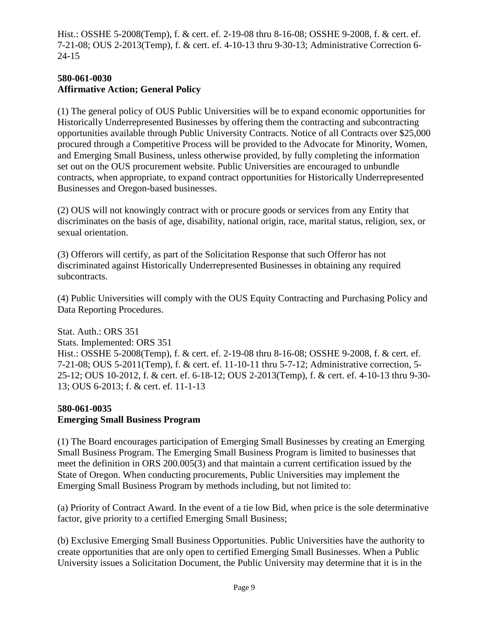Hist.: OSSHE 5-2008(Temp), f. & cert. ef. 2-19-08 thru 8-16-08; OSSHE 9-2008, f. & cert. ef. 7-21-08; OUS 2-2013(Temp), f. & cert. ef. 4-10-13 thru 9-30-13; Administrative Correction 6- 24-15

### **580-061-0030 Affirmative Action; General Policy**

(1) The general policy of OUS Public Universities will be to expand economic opportunities for Historically Underrepresented Businesses by offering them the contracting and subcontracting opportunities available through Public University Contracts. Notice of all Contracts over \$25,000 procured through a Competitive Process will be provided to the Advocate for Minority, Women, and Emerging Small Business, unless otherwise provided, by fully completing the information set out on the OUS procurement website. Public Universities are encouraged to unbundle contracts, when appropriate, to expand contract opportunities for Historically Underrepresented Businesses and Oregon-based businesses.

(2) OUS will not knowingly contract with or procure goods or services from any Entity that discriminates on the basis of age, disability, national origin, race, marital status, religion, sex, or sexual orientation.

(3) Offerors will certify, as part of the Solicitation Response that such Offeror has not discriminated against Historically Underrepresented Businesses in obtaining any required subcontracts.

(4) Public Universities will comply with the OUS Equity Contracting and Purchasing Policy and Data Reporting Procedures.

Stat. Auth.: ORS 351 Stats. Implemented: ORS 351 Hist.: OSSHE 5-2008(Temp), f. & cert. ef. 2-19-08 thru 8-16-08; OSSHE 9-2008, f. & cert. ef. 7-21-08; OUS 5-2011(Temp), f. & cert. ef. 11-10-11 thru 5-7-12; Administrative correction, 5- 25-12; OUS 10-2012, f. & cert. ef. 6-18-12; OUS 2-2013(Temp), f. & cert. ef. 4-10-13 thru 9-30- 13; OUS 6-2013; f. & cert. ef. 11-1-13

## **580-061-0035 Emerging Small Business Program**

(1) The Board encourages participation of Emerging Small Businesses by creating an Emerging Small Business Program. The Emerging Small Business Program is limited to businesses that meet the definition in ORS 200.005(3) and that maintain a current certification issued by the State of Oregon. When conducting procurements, Public Universities may implement the Emerging Small Business Program by methods including, but not limited to:

(a) Priority of Contract Award. In the event of a tie low Bid, when price is the sole determinative factor, give priority to a certified Emerging Small Business;

(b) Exclusive Emerging Small Business Opportunities. Public Universities have the authority to create opportunities that are only open to certified Emerging Small Businesses. When a Public University issues a Solicitation Document, the Public University may determine that it is in the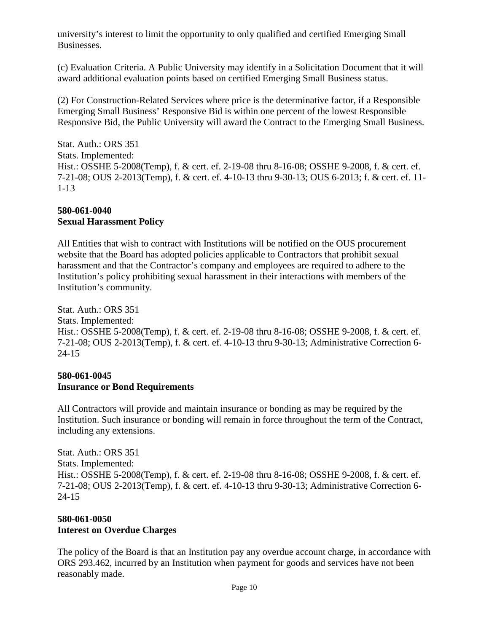university's interest to limit the opportunity to only qualified and certified Emerging Small Businesses.

(c) Evaluation Criteria. A Public University may identify in a Solicitation Document that it will award additional evaluation points based on certified Emerging Small Business status.

(2) For Construction-Related Services where price is the determinative factor, if a Responsible Emerging Small Business' Responsive Bid is within one percent of the lowest Responsible Responsive Bid, the Public University will award the Contract to the Emerging Small Business.

Stat. Auth.: ORS 351 Stats. Implemented: Hist.: OSSHE 5-2008(Temp), f. & cert. ef. 2-19-08 thru 8-16-08; OSSHE 9-2008, f. & cert. ef. 7-21-08; OUS 2-2013(Temp), f. & cert. ef. 4-10-13 thru 9-30-13; OUS 6-2013; f. & cert. ef. 11- 1-13

### **580-061-0040 Sexual Harassment Policy**

All Entities that wish to contract with Institutions will be notified on the OUS procurement website that the Board has adopted policies applicable to Contractors that prohibit sexual harassment and that the Contractor's company and employees are required to adhere to the Institution's policy prohibiting sexual harassment in their interactions with members of the Institution's community.

Stat. Auth.: ORS 351 Stats. Implemented: Hist.: OSSHE 5-2008(Temp), f. & cert. ef. 2-19-08 thru 8-16-08; OSSHE 9-2008, f. & cert. ef. 7-21-08; OUS 2-2013(Temp), f. & cert. ef. 4-10-13 thru 9-30-13; Administrative Correction 6- 24-15

#### **580-061-0045 Insurance or Bond Requirements**

All Contractors will provide and maintain insurance or bonding as may be required by the Institution. Such insurance or bonding will remain in force throughout the term of the Contract, including any extensions.

Stat. Auth.: ORS 351 Stats. Implemented: Hist.: OSSHE 5-2008(Temp), f. & cert. ef. 2-19-08 thru 8-16-08; OSSHE 9-2008, f. & cert. ef. 7-21-08; OUS 2-2013(Temp), f. & cert. ef. 4-10-13 thru 9-30-13; Administrative Correction 6- 24-15

## **580-061-0050 Interest on Overdue Charges**

The policy of the Board is that an Institution pay any overdue account charge, in accordance with ORS 293.462, incurred by an Institution when payment for goods and services have not been reasonably made.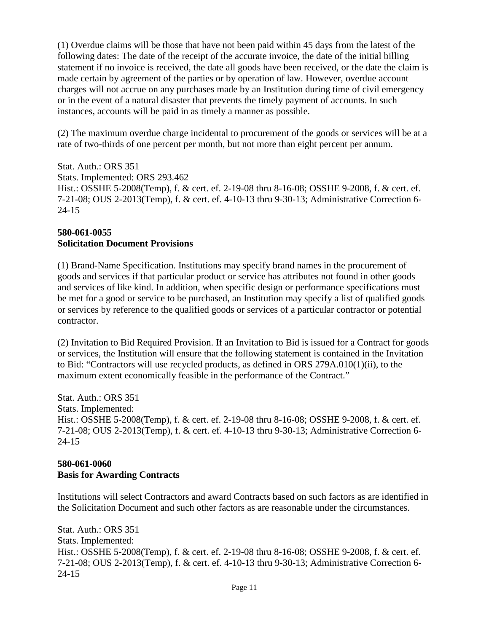(1) Overdue claims will be those that have not been paid within 45 days from the latest of the following dates: The date of the receipt of the accurate invoice, the date of the initial billing statement if no invoice is received, the date all goods have been received, or the date the claim is made certain by agreement of the parties or by operation of law. However, overdue account charges will not accrue on any purchases made by an Institution during time of civil emergency or in the event of a natural disaster that prevents the timely payment of accounts. In such instances, accounts will be paid in as timely a manner as possible.

(2) The maximum overdue charge incidental to procurement of the goods or services will be at a rate of two-thirds of one percent per month, but not more than eight percent per annum.

Stat. Auth.: ORS 351 Stats. Implemented: ORS 293.462 Hist.: OSSHE 5-2008(Temp), f. & cert. ef. 2-19-08 thru 8-16-08; OSSHE 9-2008, f. & cert. ef. 7-21-08; OUS 2-2013(Temp), f. & cert. ef. 4-10-13 thru 9-30-13; Administrative Correction 6- 24-15

### **580-061-0055 Solicitation Document Provisions**

(1) Brand-Name Specification. Institutions may specify brand names in the procurement of goods and services if that particular product or service has attributes not found in other goods and services of like kind. In addition, when specific design or performance specifications must be met for a good or service to be purchased, an Institution may specify a list of qualified goods or services by reference to the qualified goods or services of a particular contractor or potential contractor.

(2) Invitation to Bid Required Provision. If an Invitation to Bid is issued for a Contract for goods or services, the Institution will ensure that the following statement is contained in the Invitation to Bid: "Contractors will use recycled products, as defined in ORS 279A.010(1)(ii), to the maximum extent economically feasible in the performance of the Contract."

Stat. Auth.: ORS 351 Stats. Implemented: Hist.: OSSHE 5-2008(Temp), f. & cert. ef. 2-19-08 thru 8-16-08; OSSHE 9-2008, f. & cert. ef. 7-21-08; OUS 2-2013(Temp), f. & cert. ef. 4-10-13 thru 9-30-13; Administrative Correction 6- 24-15

## **580-061-0060 Basis for Awarding Contracts**

Institutions will select Contractors and award Contracts based on such factors as are identified in the Solicitation Document and such other factors as are reasonable under the circumstances.

Stat. Auth.: ORS 351 Stats. Implemented: Hist.: OSSHE 5-2008(Temp), f. & cert. ef. 2-19-08 thru 8-16-08; OSSHE 9-2008, f. & cert. ef. 7-21-08; OUS 2-2013(Temp), f. & cert. ef. 4-10-13 thru 9-30-13; Administrative Correction 6- 24-15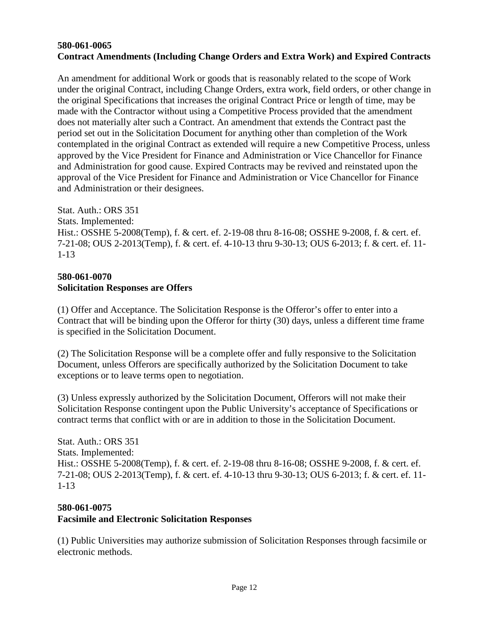#### **580-061-0065 Contract Amendments (Including Change Orders and Extra Work) and Expired Contracts**

An amendment for additional Work or goods that is reasonably related to the scope of Work under the original Contract, including Change Orders, extra work, field orders, or other change in the original Specifications that increases the original Contract Price or length of time, may be made with the Contractor without using a Competitive Process provided that the amendment does not materially alter such a Contract. An amendment that extends the Contract past the period set out in the Solicitation Document for anything other than completion of the Work contemplated in the original Contract as extended will require a new Competitive Process, unless approved by the Vice President for Finance and Administration or Vice Chancellor for Finance and Administration for good cause. Expired Contracts may be revived and reinstated upon the approval of the Vice President for Finance and Administration or Vice Chancellor for Finance and Administration or their designees.

Stat. Auth.: ORS 351 Stats. Implemented: Hist.: OSSHE 5-2008(Temp), f. & cert. ef. 2-19-08 thru 8-16-08; OSSHE 9-2008, f. & cert. ef. 7-21-08; OUS 2-2013(Temp), f. & cert. ef. 4-10-13 thru 9-30-13; OUS 6-2013; f. & cert. ef. 11- 1-13

### **580-061-0070 Solicitation Responses are Offers**

(1) Offer and Acceptance. The Solicitation Response is the Offeror's offer to enter into a Contract that will be binding upon the Offeror for thirty (30) days, unless a different time frame is specified in the Solicitation Document.

(2) The Solicitation Response will be a complete offer and fully responsive to the Solicitation Document, unless Offerors are specifically authorized by the Solicitation Document to take exceptions or to leave terms open to negotiation.

(3) Unless expressly authorized by the Solicitation Document, Offerors will not make their Solicitation Response contingent upon the Public University's acceptance of Specifications or contract terms that conflict with or are in addition to those in the Solicitation Document.

Stat. Auth.: ORS 351 Stats. Implemented: Hist.: OSSHE 5-2008(Temp), f. & cert. ef. 2-19-08 thru 8-16-08; OSSHE 9-2008, f. & cert. ef. 7-21-08; OUS 2-2013(Temp), f. & cert. ef. 4-10-13 thru 9-30-13; OUS 6-2013; f. & cert. ef. 11- 1-13

### **580-061-0075 Facsimile and Electronic Solicitation Responses**

(1) Public Universities may authorize submission of Solicitation Responses through facsimile or electronic methods.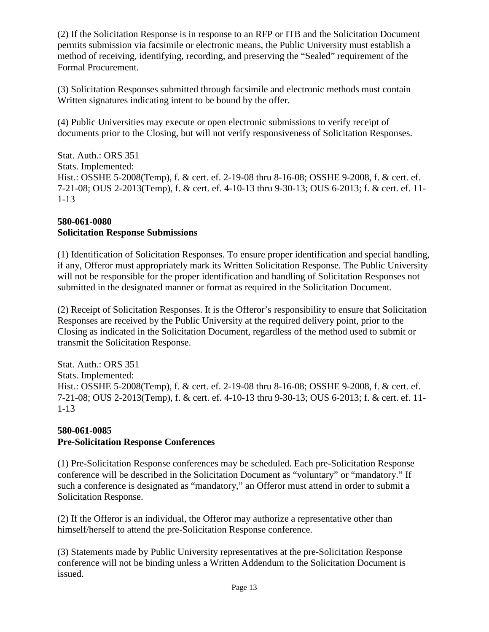(2) If the Solicitation Response is in response to an RFP or ITB and the Solicitation Document permits submission via facsimile or electronic means, the Public University must establish a method of receiving, identifying, recording, and preserving the "Sealed" requirement of the Formal Procurement.

(3) Solicitation Responses submitted through facsimile and electronic methods must contain Written signatures indicating intent to be bound by the offer.

(4) Public Universities may execute or open electronic submissions to verify receipt of documents prior to the Closing, but will not verify responsiveness of Solicitation Responses.

Stat. Auth.: ORS 351 Stats. Implemented: Hist.: OSSHE 5-2008(Temp), f. & cert. ef. 2-19-08 thru 8-16-08; OSSHE 9-2008, f. & cert. ef. 7-21-08; OUS 2-2013(Temp), f. & cert. ef. 4-10-13 thru 9-30-13; OUS 6-2013; f. & cert. ef. 11- 1-13

### **580-061-0080 Solicitation Response Submissions**

(1) Identification of Solicitation Responses. To ensure proper identification and special handling, if any, Offeror must appropriately mark its Written Solicitation Response. The Public University will not be responsible for the proper identification and handling of Solicitation Responses not submitted in the designated manner or format as required in the Solicitation Document.

(2) Receipt of Solicitation Responses. It is the Offeror's responsibility to ensure that Solicitation Responses are received by the Public University at the required delivery point, prior to the Closing as indicated in the Solicitation Document, regardless of the method used to submit or transmit the Solicitation Response.

Stat. Auth.: ORS 351 Stats. Implemented: Hist.: OSSHE 5-2008(Temp), f. & cert. ef. 2-19-08 thru 8-16-08; OSSHE 9-2008, f. & cert. ef. 7-21-08; OUS 2-2013(Temp), f. & cert. ef. 4-10-13 thru 9-30-13; OUS 6-2013; f. & cert. ef. 11- 1-13

## **580-061-0085 Pre-Solicitation Response Conferences**

(1) Pre-Solicitation Response conferences may be scheduled. Each pre-Solicitation Response conference will be described in the Solicitation Document as "voluntary" or "mandatory." If such a conference is designated as "mandatory," an Offeror must attend in order to submit a Solicitation Response.

(2) If the Offeror is an individual, the Offeror may authorize a representative other than himself/herself to attend the pre-Solicitation Response conference.

(3) Statements made by Public University representatives at the pre-Solicitation Response conference will not be binding unless a Written Addendum to the Solicitation Document is issued.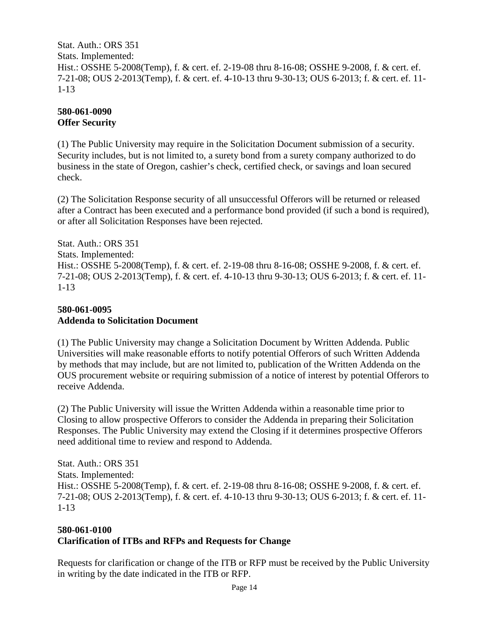Stat. Auth.: ORS 351 Stats. Implemented: Hist.: OSSHE 5-2008(Temp), f. & cert. ef. 2-19-08 thru 8-16-08; OSSHE 9-2008, f. & cert. ef. 7-21-08; OUS 2-2013(Temp), f. & cert. ef. 4-10-13 thru 9-30-13; OUS 6-2013; f. & cert. ef. 11- 1-13

#### **580-061-0090 Offer Security**

(1) The Public University may require in the Solicitation Document submission of a security. Security includes, but is not limited to, a surety bond from a surety company authorized to do business in the state of Oregon, cashier's check, certified check, or savings and loan secured check.

(2) The Solicitation Response security of all unsuccessful Offerors will be returned or released after a Contract has been executed and a performance bond provided (if such a bond is required), or after all Solicitation Responses have been rejected.

Stat. Auth.: ORS 351 Stats. Implemented: Hist.: OSSHE 5-2008(Temp), f. & cert. ef. 2-19-08 thru 8-16-08; OSSHE 9-2008, f. & cert. ef. 7-21-08; OUS 2-2013(Temp), f. & cert. ef. 4-10-13 thru 9-30-13; OUS 6-2013; f. & cert. ef. 11- 1-13

### **580-061-0095 Addenda to Solicitation Document**

(1) The Public University may change a Solicitation Document by Written Addenda. Public Universities will make reasonable efforts to notify potential Offerors of such Written Addenda by methods that may include, but are not limited to, publication of the Written Addenda on the OUS procurement website or requiring submission of a notice of interest by potential Offerors to receive Addenda.

(2) The Public University will issue the Written Addenda within a reasonable time prior to Closing to allow prospective Offerors to consider the Addenda in preparing their Solicitation Responses. The Public University may extend the Closing if it determines prospective Offerors need additional time to review and respond to Addenda.

Stat. Auth.: ORS 351 Stats. Implemented: Hist.: OSSHE 5-2008(Temp), f. & cert. ef. 2-19-08 thru 8-16-08; OSSHE 9-2008, f. & cert. ef. 7-21-08; OUS 2-2013(Temp), f. & cert. ef. 4-10-13 thru 9-30-13; OUS 6-2013; f. & cert. ef. 11- 1-13

### **580-061-0100 Clarification of ITBs and RFPs and Requests for Change**

Requests for clarification or change of the ITB or RFP must be received by the Public University in writing by the date indicated in the ITB or RFP.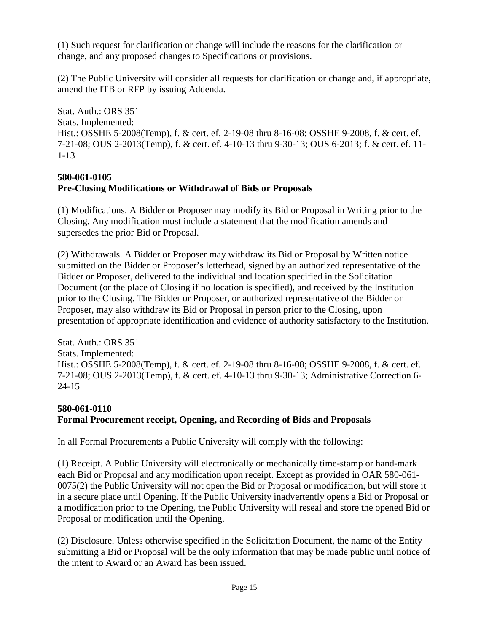(1) Such request for clarification or change will include the reasons for the clarification or change, and any proposed changes to Specifications or provisions.

(2) The Public University will consider all requests for clarification or change and, if appropriate, amend the ITB or RFP by issuing Addenda.

Stat. Auth.: ORS 351 Stats. Implemented: Hist.: OSSHE 5-2008(Temp), f. & cert. ef. 2-19-08 thru 8-16-08; OSSHE 9-2008, f. & cert. ef. 7-21-08; OUS 2-2013(Temp), f. & cert. ef. 4-10-13 thru 9-30-13; OUS 6-2013; f. & cert. ef. 11- 1-13

### **580-061-0105 Pre-Closing Modifications or Withdrawal of Bids or Proposals**

(1) Modifications. A Bidder or Proposer may modify its Bid or Proposal in Writing prior to the Closing. Any modification must include a statement that the modification amends and supersedes the prior Bid or Proposal.

(2) Withdrawals. A Bidder or Proposer may withdraw its Bid or Proposal by Written notice submitted on the Bidder or Proposer's letterhead, signed by an authorized representative of the Bidder or Proposer, delivered to the individual and location specified in the Solicitation Document (or the place of Closing if no location is specified), and received by the Institution prior to the Closing. The Bidder or Proposer, or authorized representative of the Bidder or Proposer, may also withdraw its Bid or Proposal in person prior to the Closing, upon presentation of appropriate identification and evidence of authority satisfactory to the Institution.

Stat. Auth.: ORS 351 Stats. Implemented: Hist.: OSSHE 5-2008(Temp), f. & cert. ef. 2-19-08 thru 8-16-08; OSSHE 9-2008, f. & cert. ef. 7-21-08; OUS 2-2013(Temp), f. & cert. ef. 4-10-13 thru 9-30-13; Administrative Correction 6- 24-15

## **580-061-0110 Formal Procurement receipt, Opening, and Recording of Bids and Proposals**

In all Formal Procurements a Public University will comply with the following:

(1) Receipt. A Public University will electronically or mechanically time-stamp or hand-mark each Bid or Proposal and any modification upon receipt. Except as provided in OAR 580-061- 0075(2) the Public University will not open the Bid or Proposal or modification, but will store it in a secure place until Opening. If the Public University inadvertently opens a Bid or Proposal or a modification prior to the Opening, the Public University will reseal and store the opened Bid or Proposal or modification until the Opening.

(2) Disclosure. Unless otherwise specified in the Solicitation Document, the name of the Entity submitting a Bid or Proposal will be the only information that may be made public until notice of the intent to Award or an Award has been issued.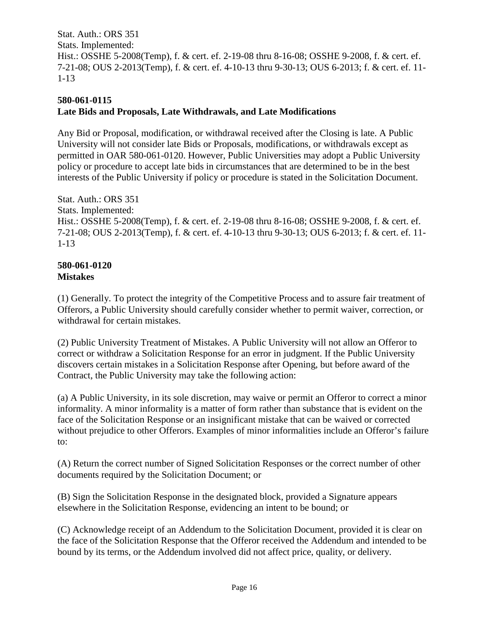Stat. Auth.: ORS 351 Stats. Implemented: Hist.: OSSHE 5-2008(Temp), f. & cert. ef. 2-19-08 thru 8-16-08; OSSHE 9-2008, f. & cert. ef. 7-21-08; OUS 2-2013(Temp), f. & cert. ef. 4-10-13 thru 9-30-13; OUS 6-2013; f. & cert. ef. 11- 1-13

## **580-061-0115 Late Bids and Proposals, Late Withdrawals, and Late Modifications**

Any Bid or Proposal, modification, or withdrawal received after the Closing is late. A Public University will not consider late Bids or Proposals, modifications, or withdrawals except as permitted in OAR 580-061-0120. However, Public Universities may adopt a Public University policy or procedure to accept late bids in circumstances that are determined to be in the best interests of the Public University if policy or procedure is stated in the Solicitation Document.

Stat. Auth.: ORS 351 Stats. Implemented: Hist.: OSSHE 5-2008(Temp), f. & cert. ef. 2-19-08 thru 8-16-08; OSSHE 9-2008, f. & cert. ef. 7-21-08; OUS 2-2013(Temp), f. & cert. ef. 4-10-13 thru 9-30-13; OUS 6-2013; f. & cert. ef. 11- 1-13

#### **580-061-0120 Mistakes**

(1) Generally. To protect the integrity of the Competitive Process and to assure fair treatment of Offerors, a Public University should carefully consider whether to permit waiver, correction, or withdrawal for certain mistakes.

(2) Public University Treatment of Mistakes. A Public University will not allow an Offeror to correct or withdraw a Solicitation Response for an error in judgment. If the Public University discovers certain mistakes in a Solicitation Response after Opening, but before award of the Contract, the Public University may take the following action:

(a) A Public University, in its sole discretion, may waive or permit an Offeror to correct a minor informality. A minor informality is a matter of form rather than substance that is evident on the face of the Solicitation Response or an insignificant mistake that can be waived or corrected without prejudice to other Offerors. Examples of minor informalities include an Offeror's failure to:

(A) Return the correct number of Signed Solicitation Responses or the correct number of other documents required by the Solicitation Document; or

(B) Sign the Solicitation Response in the designated block, provided a Signature appears elsewhere in the Solicitation Response, evidencing an intent to be bound; or

(C) Acknowledge receipt of an Addendum to the Solicitation Document, provided it is clear on the face of the Solicitation Response that the Offeror received the Addendum and intended to be bound by its terms, or the Addendum involved did not affect price, quality, or delivery.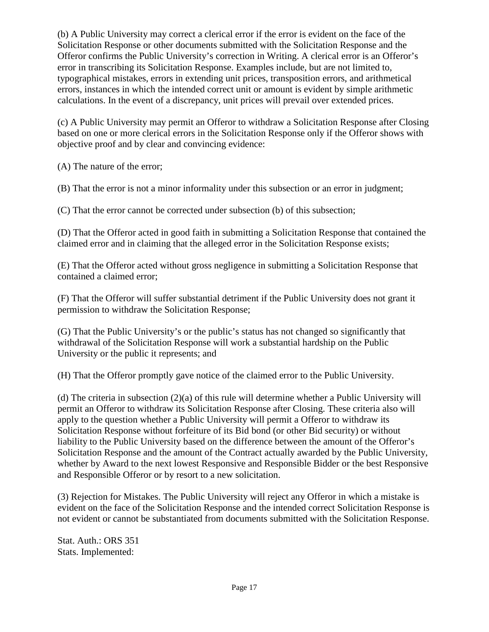(b) A Public University may correct a clerical error if the error is evident on the face of the Solicitation Response or other documents submitted with the Solicitation Response and the Offeror confirms the Public University's correction in Writing. A clerical error is an Offeror's error in transcribing its Solicitation Response. Examples include, but are not limited to, typographical mistakes, errors in extending unit prices, transposition errors, and arithmetical errors, instances in which the intended correct unit or amount is evident by simple arithmetic calculations. In the event of a discrepancy, unit prices will prevail over extended prices.

(c) A Public University may permit an Offeror to withdraw a Solicitation Response after Closing based on one or more clerical errors in the Solicitation Response only if the Offeror shows with objective proof and by clear and convincing evidence:

(A) The nature of the error;

(B) That the error is not a minor informality under this subsection or an error in judgment;

(C) That the error cannot be corrected under subsection (b) of this subsection;

(D) That the Offeror acted in good faith in submitting a Solicitation Response that contained the claimed error and in claiming that the alleged error in the Solicitation Response exists;

(E) That the Offeror acted without gross negligence in submitting a Solicitation Response that contained a claimed error;

(F) That the Offeror will suffer substantial detriment if the Public University does not grant it permission to withdraw the Solicitation Response;

(G) That the Public University's or the public's status has not changed so significantly that withdrawal of the Solicitation Response will work a substantial hardship on the Public University or the public it represents; and

(H) That the Offeror promptly gave notice of the claimed error to the Public University.

(d) The criteria in subsection (2)(a) of this rule will determine whether a Public University will permit an Offeror to withdraw its Solicitation Response after Closing. These criteria also will apply to the question whether a Public University will permit a Offeror to withdraw its Solicitation Response without forfeiture of its Bid bond (or other Bid security) or without liability to the Public University based on the difference between the amount of the Offeror's Solicitation Response and the amount of the Contract actually awarded by the Public University, whether by Award to the next lowest Responsive and Responsible Bidder or the best Responsive and Responsible Offeror or by resort to a new solicitation.

(3) Rejection for Mistakes. The Public University will reject any Offeror in which a mistake is evident on the face of the Solicitation Response and the intended correct Solicitation Response is not evident or cannot be substantiated from documents submitted with the Solicitation Response.

Stat. Auth.: ORS 351 Stats. Implemented: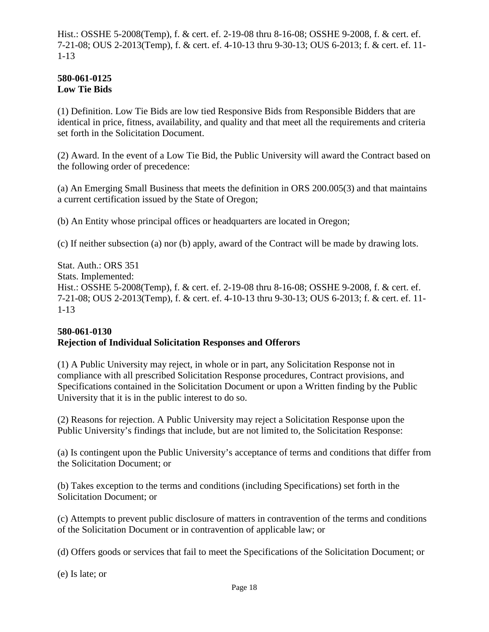Hist.: OSSHE 5-2008(Temp), f. & cert. ef. 2-19-08 thru 8-16-08; OSSHE 9-2008, f. & cert. ef. 7-21-08; OUS 2-2013(Temp), f. & cert. ef. 4-10-13 thru 9-30-13; OUS 6-2013; f. & cert. ef. 11- 1-13

#### **580-061-0125 Low Tie Bids**

(1) Definition. Low Tie Bids are low tied Responsive Bids from Responsible Bidders that are identical in price, fitness, availability, and quality and that meet all the requirements and criteria set forth in the Solicitation Document.

(2) Award. In the event of a Low Tie Bid, the Public University will award the Contract based on the following order of precedence:

(a) An Emerging Small Business that meets the definition in ORS 200.005(3) and that maintains a current certification issued by the State of Oregon;

(b) An Entity whose principal offices or headquarters are located in Oregon;

(c) If neither subsection (a) nor (b) apply, award of the Contract will be made by drawing lots.

Stat. Auth.: ORS 351 Stats. Implemented: Hist.: OSSHE 5-2008(Temp), f. & cert. ef. 2-19-08 thru 8-16-08; OSSHE 9-2008, f. & cert. ef. 7-21-08; OUS 2-2013(Temp), f. & cert. ef. 4-10-13 thru 9-30-13; OUS 6-2013; f. & cert. ef. 11- 1-13

### **580-061-0130 Rejection of Individual Solicitation Responses and Offerors**

(1) A Public University may reject, in whole or in part, any Solicitation Response not in compliance with all prescribed Solicitation Response procedures, Contract provisions, and Specifications contained in the Solicitation Document or upon a Written finding by the Public University that it is in the public interest to do so.

(2) Reasons for rejection. A Public University may reject a Solicitation Response upon the Public University's findings that include, but are not limited to, the Solicitation Response:

(a) Is contingent upon the Public University's acceptance of terms and conditions that differ from the Solicitation Document; or

(b) Takes exception to the terms and conditions (including Specifications) set forth in the Solicitation Document; or

(c) Attempts to prevent public disclosure of matters in contravention of the terms and conditions of the Solicitation Document or in contravention of applicable law; or

(d) Offers goods or services that fail to meet the Specifications of the Solicitation Document; or

(e) Is late; or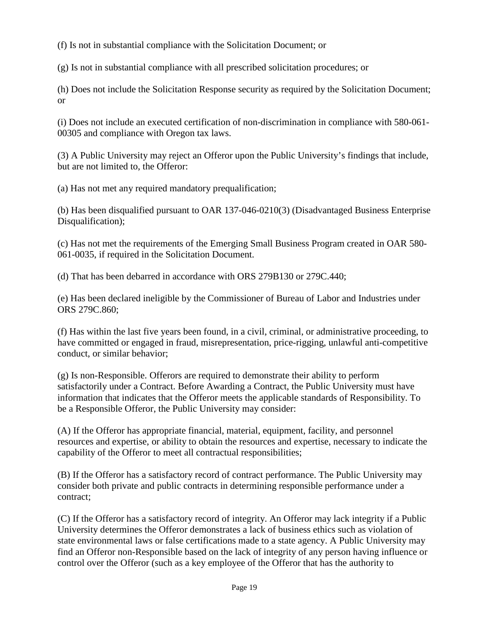(f) Is not in substantial compliance with the Solicitation Document; or

(g) Is not in substantial compliance with all prescribed solicitation procedures; or

(h) Does not include the Solicitation Response security as required by the Solicitation Document; or

(i) Does not include an executed certification of non-discrimination in compliance with 580-061- 00305 and compliance with Oregon tax laws.

(3) A Public University may reject an Offeror upon the Public University's findings that include, but are not limited to, the Offeror:

(a) Has not met any required mandatory prequalification;

(b) Has been disqualified pursuant to OAR 137-046-0210(3) (Disadvantaged Business Enterprise Disqualification);

(c) Has not met the requirements of the Emerging Small Business Program created in OAR 580- 061-0035, if required in the Solicitation Document.

(d) That has been debarred in accordance with ORS 279B130 or 279C.440;

(e) Has been declared ineligible by the Commissioner of Bureau of Labor and Industries under ORS 279C.860;

(f) Has within the last five years been found, in a civil, criminal, or administrative proceeding, to have committed or engaged in fraud, misrepresentation, price-rigging, unlawful anti-competitive conduct, or similar behavior;

(g) Is non-Responsible. Offerors are required to demonstrate their ability to perform satisfactorily under a Contract. Before Awarding a Contract, the Public University must have information that indicates that the Offeror meets the applicable standards of Responsibility. To be a Responsible Offeror, the Public University may consider:

(A) If the Offeror has appropriate financial, material, equipment, facility, and personnel resources and expertise, or ability to obtain the resources and expertise, necessary to indicate the capability of the Offeror to meet all contractual responsibilities;

(B) If the Offeror has a satisfactory record of contract performance. The Public University may consider both private and public contracts in determining responsible performance under a contract;

(C) If the Offeror has a satisfactory record of integrity. An Offeror may lack integrity if a Public University determines the Offeror demonstrates a lack of business ethics such as violation of state environmental laws or false certifications made to a state agency. A Public University may find an Offeror non-Responsible based on the lack of integrity of any person having influence or control over the Offeror (such as a key employee of the Offeror that has the authority to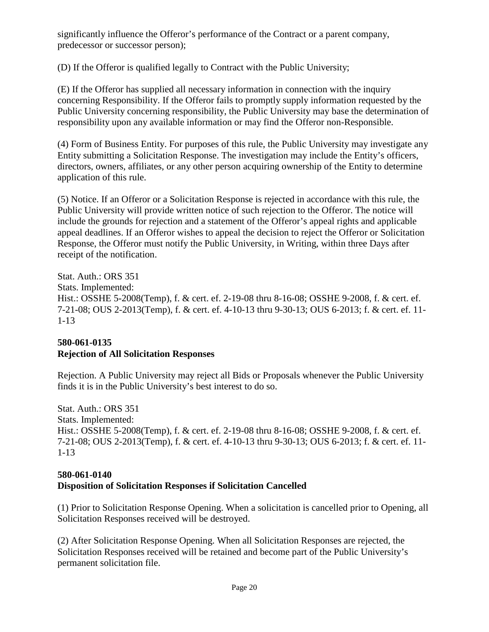significantly influence the Offeror's performance of the Contract or a parent company, predecessor or successor person);

(D) If the Offeror is qualified legally to Contract with the Public University;

(E) If the Offeror has supplied all necessary information in connection with the inquiry concerning Responsibility. If the Offeror fails to promptly supply information requested by the Public University concerning responsibility, the Public University may base the determination of responsibility upon any available information or may find the Offeror non-Responsible.

(4) Form of Business Entity. For purposes of this rule, the Public University may investigate any Entity submitting a Solicitation Response. The investigation may include the Entity's officers, directors, owners, affiliates, or any other person acquiring ownership of the Entity to determine application of this rule.

(5) Notice. If an Offeror or a Solicitation Response is rejected in accordance with this rule, the Public University will provide written notice of such rejection to the Offeror. The notice will include the grounds for rejection and a statement of the Offeror's appeal rights and applicable appeal deadlines. If an Offeror wishes to appeal the decision to reject the Offeror or Solicitation Response, the Offeror must notify the Public University, in Writing, within three Days after receipt of the notification.

Stat. Auth.: ORS 351 Stats. Implemented: Hist.: OSSHE 5-2008(Temp), f. & cert. ef. 2-19-08 thru 8-16-08; OSSHE 9-2008, f. & cert. ef. 7-21-08; OUS 2-2013(Temp), f. & cert. ef. 4-10-13 thru 9-30-13; OUS 6-2013; f. & cert. ef. 11- 1-13

## **580-061-0135 Rejection of All Solicitation Responses**

Rejection. A Public University may reject all Bids or Proposals whenever the Public University finds it is in the Public University's best interest to do so.

Stat. Auth.: ORS 351 Stats. Implemented: Hist.: OSSHE 5-2008(Temp), f. & cert. ef. 2-19-08 thru 8-16-08; OSSHE 9-2008, f. & cert. ef. 7-21-08; OUS 2-2013(Temp), f. & cert. ef. 4-10-13 thru 9-30-13; OUS 6-2013; f. & cert. ef. 11- 1-13

### **580-061-0140 Disposition of Solicitation Responses if Solicitation Cancelled**

(1) Prior to Solicitation Response Opening. When a solicitation is cancelled prior to Opening, all Solicitation Responses received will be destroyed.

(2) After Solicitation Response Opening. When all Solicitation Responses are rejected, the Solicitation Responses received will be retained and become part of the Public University's permanent solicitation file.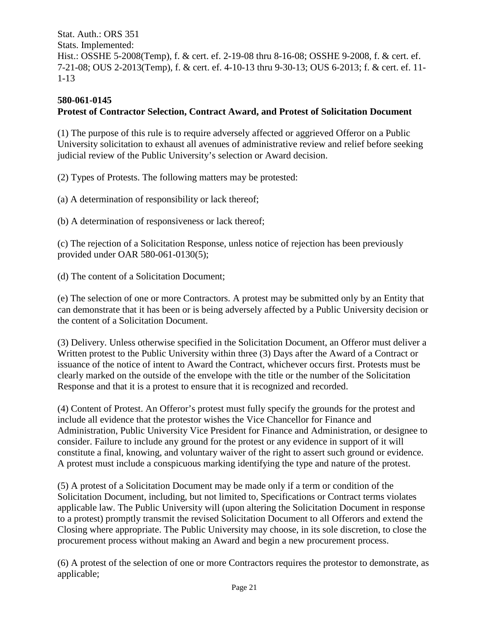Stat. Auth.: ORS 351 Stats. Implemented: Hist.: OSSHE 5-2008(Temp), f. & cert. ef. 2-19-08 thru 8-16-08; OSSHE 9-2008, f. & cert. ef. 7-21-08; OUS 2-2013(Temp), f. & cert. ef. 4-10-13 thru 9-30-13; OUS 6-2013; f. & cert. ef. 11- 1-13

### **580-061-0145 Protest of Contractor Selection, Contract Award, and Protest of Solicitation Document**

(1) The purpose of this rule is to require adversely affected or aggrieved Offeror on a Public University solicitation to exhaust all avenues of administrative review and relief before seeking judicial review of the Public University's selection or Award decision.

(2) Types of Protests. The following matters may be protested:

(a) A determination of responsibility or lack thereof;

(b) A determination of responsiveness or lack thereof;

(c) The rejection of a Solicitation Response, unless notice of rejection has been previously provided under OAR 580-061-0130(5);

(d) The content of a Solicitation Document;

(e) The selection of one or more Contractors. A protest may be submitted only by an Entity that can demonstrate that it has been or is being adversely affected by a Public University decision or the content of a Solicitation Document.

(3) Delivery. Unless otherwise specified in the Solicitation Document, an Offeror must deliver a Written protest to the Public University within three (3) Days after the Award of a Contract or issuance of the notice of intent to Award the Contract, whichever occurs first. Protests must be clearly marked on the outside of the envelope with the title or the number of the Solicitation Response and that it is a protest to ensure that it is recognized and recorded.

(4) Content of Protest. An Offeror's protest must fully specify the grounds for the protest and include all evidence that the protestor wishes the Vice Chancellor for Finance and Administration, Public University Vice President for Finance and Administration, or designee to consider. Failure to include any ground for the protest or any evidence in support of it will constitute a final, knowing, and voluntary waiver of the right to assert such ground or evidence. A protest must include a conspicuous marking identifying the type and nature of the protest.

(5) A protest of a Solicitation Document may be made only if a term or condition of the Solicitation Document, including, but not limited to, Specifications or Contract terms violates applicable law. The Public University will (upon altering the Solicitation Document in response to a protest) promptly transmit the revised Solicitation Document to all Offerors and extend the Closing where appropriate. The Public University may choose, in its sole discretion, to close the procurement process without making an Award and begin a new procurement process.

(6) A protest of the selection of one or more Contractors requires the protestor to demonstrate, as applicable;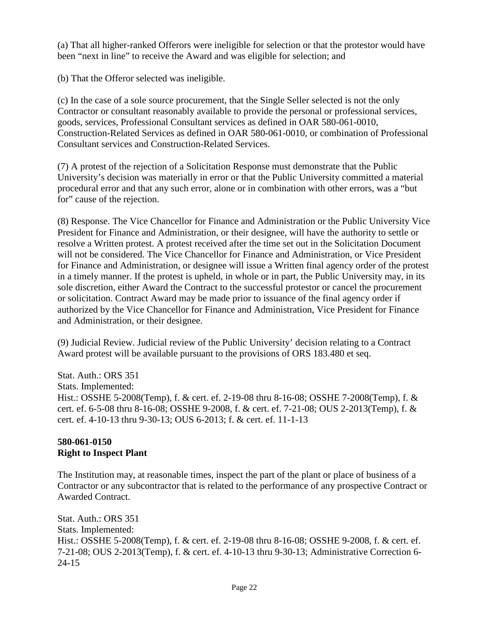(a) That all higher-ranked Offerors were ineligible for selection or that the protestor would have been "next in line" to receive the Award and was eligible for selection; and

(b) That the Offeror selected was ineligible.

(c) In the case of a sole source procurement, that the Single Seller selected is not the only Contractor or consultant reasonably available to provide the personal or professional services, goods, services, Professional Consultant services as defined in OAR 580-061-0010, Construction-Related Services as defined in OAR 580-061-0010, or combination of Professional Consultant services and Construction-Related Services.

(7) A protest of the rejection of a Solicitation Response must demonstrate that the Public University's decision was materially in error or that the Public University committed a material procedural error and that any such error, alone or in combination with other errors, was a "but for" cause of the rejection.

(8) Response. The Vice Chancellor for Finance and Administration or the Public University Vice President for Finance and Administration, or their designee, will have the authority to settle or resolve a Written protest. A protest received after the time set out in the Solicitation Document will not be considered. The Vice Chancellor for Finance and Administration, or Vice President for Finance and Administration, or designee will issue a Written final agency order of the protest in a timely manner. If the protest is upheld, in whole or in part, the Public University may, in its sole discretion, either Award the Contract to the successful protestor or cancel the procurement or solicitation. Contract Award may be made prior to issuance of the final agency order if authorized by the Vice Chancellor for Finance and Administration, Vice President for Finance and Administration, or their designee.

(9) Judicial Review. Judicial review of the Public University' decision relating to a Contract Award protest will be available pursuant to the provisions of ORS 183.480 et seq.

Stat. Auth.: ORS 351 Stats. Implemented: Hist.: OSSHE 5-2008(Temp), f. & cert. ef. 2-19-08 thru 8-16-08; OSSHE 7-2008(Temp), f. & cert. ef. 6-5-08 thru 8-16-08; OSSHE 9-2008, f. & cert. ef. 7-21-08; OUS 2-2013(Temp), f. & cert. ef. 4-10-13 thru 9-30-13; OUS 6-2013; f. & cert. ef. 11-1-13

## **580-061-0150 Right to Inspect Plant**

The Institution may, at reasonable times, inspect the part of the plant or place of business of a Contractor or any subcontractor that is related to the performance of any prospective Contract or Awarded Contract.

Stat. Auth.: ORS 351 Stats. Implemented: Hist.: OSSHE 5-2008(Temp), f. & cert. ef. 2-19-08 thru 8-16-08; OSSHE 9-2008, f. & cert. ef. 7-21-08; OUS 2-2013(Temp), f. & cert. ef. 4-10-13 thru 9-30-13; Administrative Correction 6- 24-15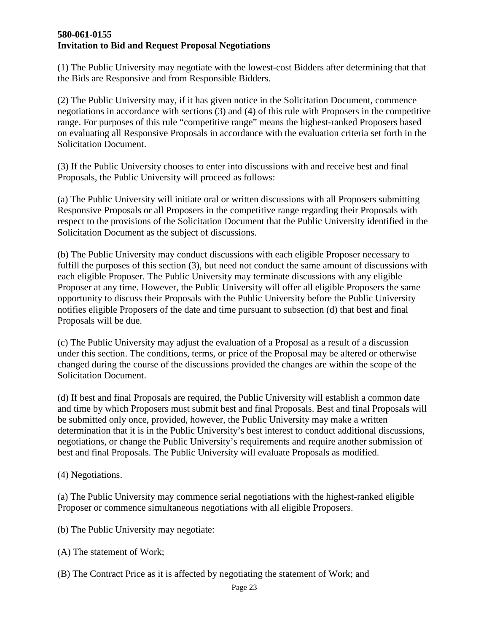#### **580-061-0155 Invitation to Bid and Request Proposal Negotiations**

(1) The Public University may negotiate with the lowest-cost Bidders after determining that that the Bids are Responsive and from Responsible Bidders.

(2) The Public University may, if it has given notice in the Solicitation Document, commence negotiations in accordance with sections (3) and (4) of this rule with Proposers in the competitive range. For purposes of this rule "competitive range" means the highest-ranked Proposers based on evaluating all Responsive Proposals in accordance with the evaluation criteria set forth in the Solicitation Document.

(3) If the Public University chooses to enter into discussions with and receive best and final Proposals, the Public University will proceed as follows:

(a) The Public University will initiate oral or written discussions with all Proposers submitting Responsive Proposals or all Proposers in the competitive range regarding their Proposals with respect to the provisions of the Solicitation Document that the Public University identified in the Solicitation Document as the subject of discussions.

(b) The Public University may conduct discussions with each eligible Proposer necessary to fulfill the purposes of this section (3), but need not conduct the same amount of discussions with each eligible Proposer. The Public University may terminate discussions with any eligible Proposer at any time. However, the Public University will offer all eligible Proposers the same opportunity to discuss their Proposals with the Public University before the Public University notifies eligible Proposers of the date and time pursuant to subsection (d) that best and final Proposals will be due.

(c) The Public University may adjust the evaluation of a Proposal as a result of a discussion under this section. The conditions, terms, or price of the Proposal may be altered or otherwise changed during the course of the discussions provided the changes are within the scope of the Solicitation Document.

(d) If best and final Proposals are required, the Public University will establish a common date and time by which Proposers must submit best and final Proposals. Best and final Proposals will be submitted only once, provided, however, the Public University may make a written determination that it is in the Public University's best interest to conduct additional discussions, negotiations, or change the Public University's requirements and require another submission of best and final Proposals. The Public University will evaluate Proposals as modified.

(4) Negotiations.

(a) The Public University may commence serial negotiations with the highest-ranked eligible Proposer or commence simultaneous negotiations with all eligible Proposers.

(b) The Public University may negotiate:

- (A) The statement of Work;
- (B) The Contract Price as it is affected by negotiating the statement of Work; and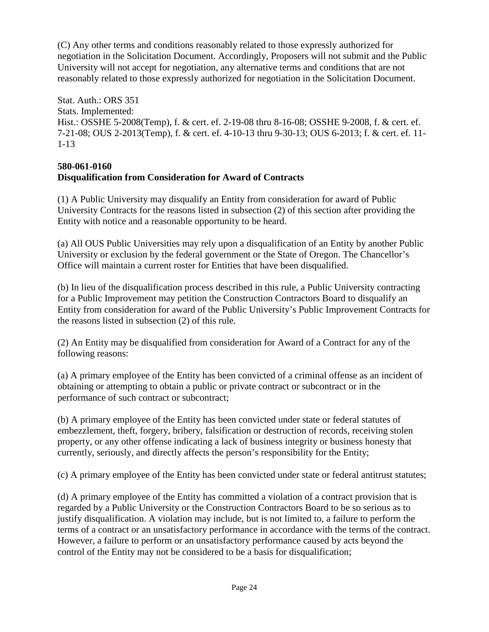(C) Any other terms and conditions reasonably related to those expressly authorized for negotiation in the Solicitation Document. Accordingly, Proposers will not submit and the Public University will not accept for negotiation, any alternative terms and conditions that are not reasonably related to those expressly authorized for negotiation in the Solicitation Document.

Stat. Auth.: ORS 351 Stats. Implemented: Hist.: OSSHE 5-2008(Temp), f. & cert. ef. 2-19-08 thru 8-16-08; OSSHE 9-2008, f. & cert. ef. 7-21-08; OUS 2-2013(Temp), f. & cert. ef. 4-10-13 thru 9-30-13; OUS 6-2013; f. & cert. ef. 11- 1-13

#### **580-061-0160 Disqualification from Consideration for Award of Contracts**

(1) A Public University may disqualify an Entity from consideration for award of Public University Contracts for the reasons listed in subsection (2) of this section after providing the Entity with notice and a reasonable opportunity to be heard.

(a) All OUS Public Universities may rely upon a disqualification of an Entity by another Public University or exclusion by the federal government or the State of Oregon. The Chancellor's Office will maintain a current roster for Entities that have been disqualified.

(b) In lieu of the disqualification process described in this rule, a Public University contracting for a Public Improvement may petition the Construction Contractors Board to disqualify an Entity from consideration for award of the Public University's Public Improvement Contracts for the reasons listed in subsection (2) of this rule.

(2) An Entity may be disqualified from consideration for Award of a Contract for any of the following reasons:

(a) A primary employee of the Entity has been convicted of a criminal offense as an incident of obtaining or attempting to obtain a public or private contract or subcontract or in the performance of such contract or subcontract;

(b) A primary employee of the Entity has been convicted under state or federal statutes of embezzlement, theft, forgery, bribery, falsification or destruction of records, receiving stolen property, or any other offense indicating a lack of business integrity or business honesty that currently, seriously, and directly affects the person's responsibility for the Entity;

(c) A primary employee of the Entity has been convicted under state or federal antitrust statutes;

(d) A primary employee of the Entity has committed a violation of a contract provision that is regarded by a Public University or the Construction Contractors Board to be so serious as to justify disqualification. A violation may include, but is not limited to, a failure to perform the terms of a contract or an unsatisfactory performance in accordance with the terms of the contract. However, a failure to perform or an unsatisfactory performance caused by acts beyond the control of the Entity may not be considered to be a basis for disqualification;